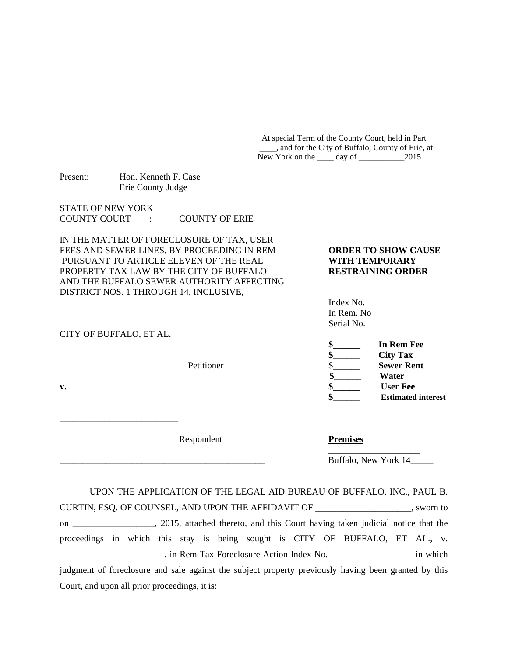At special Term of the County Court, held in Part \_\_\_\_, and for the City of Buffalo, County of Erie, at New York on the day of 2015

| Present: | Hon. Kenneth F. Case |
|----------|----------------------|
|          | Erie County Judge    |

STATE OF NEW YORK COUNTY COURT : COUNTY OF ERIE

IN THE MATTER OF FORECLOSURE OF TAX, USER FEES AND SEWER LINES, BY PROCEEDING IN REM **ORDER TO SHOW CAUSE** PURSUANT TO ARTICLE ELEVEN OF THE REAL **WITH TEMPORARY** PROPERTY TAX LAW BY THE CITY OF BUFFALO **RESTRAINING ORDER** AND THE BUFFALO SEWER AUTHORITY AFFECTING DISTRICT NOS. 1 THROUGH 14, INCLUSIVE,

\_\_\_\_\_\_\_\_\_\_\_\_\_\_\_\_\_\_\_\_\_\_\_\_\_\_\_\_\_\_\_\_\_\_\_\_\_\_\_\_\_\_\_\_\_\_\_

## CITY OF BUFFALO, ET AL.

\_\_\_\_\_\_\_\_\_\_\_\_\_\_\_\_\_\_\_\_\_\_\_\_\_\_

 Index No. In Rem. No Serial No.

|    |            | In Rem Fee                |
|----|------------|---------------------------|
|    |            | <b>City Tax</b>           |
|    | Petitioner | <b>Sewer Rent</b>         |
|    |            | Water                     |
| v. |            | <b>User Fee</b>           |
|    |            | <b>Estimated interest</b> |

Respondent **Premises** 

Buffalo, New York 14\_\_\_\_\_

 UPON THE APPLICATION OF THE LEGAL AID BUREAU OF BUFFALO, INC., PAUL B. CURTIN, ESQ. OF COUNSEL, AND UPON THE AFFIDAVIT OF \_\_\_\_\_\_\_\_\_\_\_\_\_\_\_\_\_\_\_\_\_, sworn to on \_\_\_\_\_\_\_\_\_\_\_\_\_\_\_\_\_\_, 2015, attached thereto, and this Court having taken judicial notice that the proceedings in which this stay is being sought is CITY OF BUFFALO, ET AL., v. \_\_\_\_\_\_\_\_\_\_\_\_\_\_\_\_\_\_\_\_\_\_\_, in Rem Tax Foreclosure Action Index No. \_\_\_\_\_\_\_\_\_\_\_\_\_\_\_\_\_\_ in which judgment of foreclosure and sale against the subject property previously having been granted by this Court, and upon all prior proceedings, it is:

 $\mathcal{L}_\mathcal{L}$  , which is a set of the set of the set of the set of the set of the set of the set of the set of the set of the set of the set of the set of the set of the set of the set of the set of the set of the set of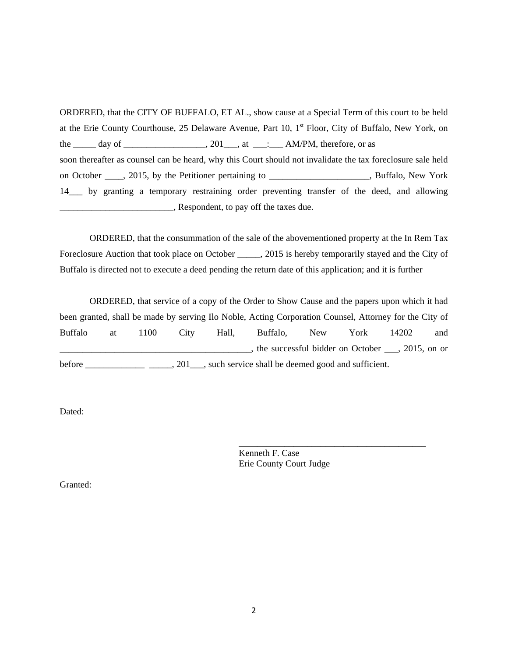ORDERED, that the CITY OF BUFFALO, ET AL., show cause at a Special Term of this court to be held at the Erie County Courthouse, 25 Delaware Avenue, Part 10, 1<sup>st</sup> Floor, City of Buffalo, New York, on the  $\_\_\_\_$  day of  $\_\_\_\_\_\_\_\.\_201\_\_\_\_at\_\_\_\_\.\_AM/PM,$  therefore, or as soon thereafter as counsel can be heard, why this Court should not invalidate the tax foreclosure sale held on October \_\_\_\_, 2015, by the Petitioner pertaining to \_\_\_\_\_\_\_\_\_\_\_\_\_\_\_\_\_\_\_\_, Buffalo, New York 14\_\_\_ by granting a temporary restraining order preventing transfer of the deed, and allowing Respondent, to pay off the taxes due.

 ORDERED, that the consummation of the sale of the abovementioned property at the In Rem Tax Foreclosure Auction that took place on October \_\_\_\_\_, 2015 is hereby temporarily stayed and the City of Buffalo is directed not to execute a deed pending the return date of this application; and it is further

 ORDERED, that service of a copy of the Order to Show Cause and the papers upon which it had been granted, shall be made by serving Ilo Noble, Acting Corporation Counsel, Attorney for the City of Buffalo at 1100 City Hall, Buffalo, New York 14202 and \_\_\_\_\_\_\_\_\_\_\_\_\_\_\_\_\_\_\_\_\_\_\_\_\_\_\_\_\_\_\_\_\_\_\_\_\_\_\_\_\_\_, the successful bidder on October \_\_\_, 2015, on or before \_\_\_\_\_\_\_\_\_\_\_\_\_\_\_\_\_\_\_\_\_\_\_, 201\_\_\_\_, such service shall be deemed good and sufficient.

Dated:

 $\frac{1}{\sqrt{2\pi}}$  , which is a set of the set of the set of the set of the set of the set of the set of the set of the set of the set of the set of the set of the set of the set of the set of the set of the set of the set of Kenneth F. Case Erie County Court Judge

Granted: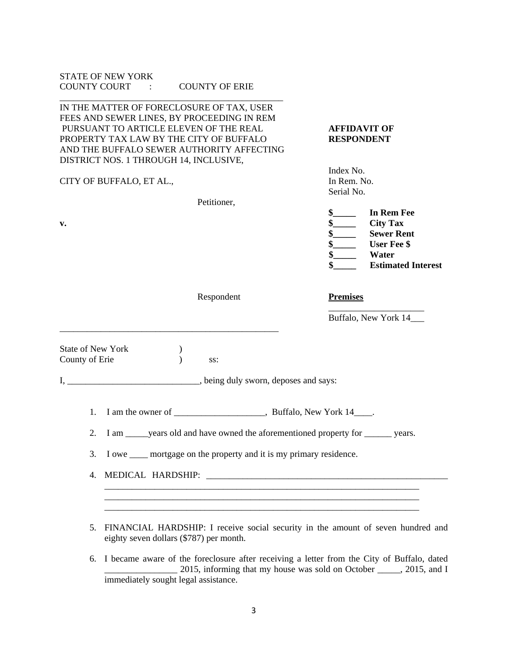|                                     | <b>STATE OF NEW YORK</b><br>COUNTY COURT :<br><b>COUNTY OF ERIE</b>                                                                                                                                                                                                 |                                                                                                                                                          |  |  |
|-------------------------------------|---------------------------------------------------------------------------------------------------------------------------------------------------------------------------------------------------------------------------------------------------------------------|----------------------------------------------------------------------------------------------------------------------------------------------------------|--|--|
|                                     | IN THE MATTER OF FORECLOSURE OF TAX, USER<br>FEES AND SEWER LINES, BY PROCEEDING IN REM<br>PURSUANT TO ARTICLE ELEVEN OF THE REAL<br>PROPERTY TAX LAW BY THE CITY OF BUFFALO<br>AND THE BUFFALO SEWER AUTHORITY AFFECTING<br>DISTRICT NOS. 1 THROUGH 14, INCLUSIVE, | <b>AFFIDAVIT OF</b><br><b>RESPONDENT</b>                                                                                                                 |  |  |
|                                     | CITY OF BUFFALO, ET AL.,                                                                                                                                                                                                                                            | Index No.<br>In Rem. No.<br>Serial No.                                                                                                                   |  |  |
|                                     | Petitioner,                                                                                                                                                                                                                                                         |                                                                                                                                                          |  |  |
| v.                                  |                                                                                                                                                                                                                                                                     | <b>In Rem Fee</b><br>$\frac{\S_{\perp}}{\S_{\perp}}$<br><b>City Tax</b><br><b>Sewer Rent</b><br><b>User Fee \$</b><br>Water<br><b>Estimated Interest</b> |  |  |
|                                     | Respondent                                                                                                                                                                                                                                                          | <b>Premises</b>                                                                                                                                          |  |  |
|                                     |                                                                                                                                                                                                                                                                     | Buffalo, New York 14                                                                                                                                     |  |  |
| State of New York<br>County of Erie | SS:                                                                                                                                                                                                                                                                 |                                                                                                                                                          |  |  |
|                                     | I, ___________________________________, being duly sworn, deposes and says:                                                                                                                                                                                         |                                                                                                                                                          |  |  |
| 1.                                  |                                                                                                                                                                                                                                                                     |                                                                                                                                                          |  |  |
| 2.                                  | I am ______ years old and have owned the aforementioned property for ________ years.                                                                                                                                                                                |                                                                                                                                                          |  |  |
| 3.                                  | I owe <u>equilibration</u> mortgage on the property and it is my primary residence.                                                                                                                                                                                 |                                                                                                                                                          |  |  |
| 4.                                  |                                                                                                                                                                                                                                                                     |                                                                                                                                                          |  |  |
|                                     |                                                                                                                                                                                                                                                                     |                                                                                                                                                          |  |  |
| 5.                                  | FINANCIAL HARDSHIP: I receive social security in the amount of seven hundred and<br>eighty seven dollars (\$787) per month.                                                                                                                                         |                                                                                                                                                          |  |  |
| 6.                                  | I became aware of the foreclosure after receiving a letter from the City of Buffalo, dated<br>2015, informing that my house was sold on October _____, 2015, and I<br>immediately sought legal assistance.                                                          |                                                                                                                                                          |  |  |